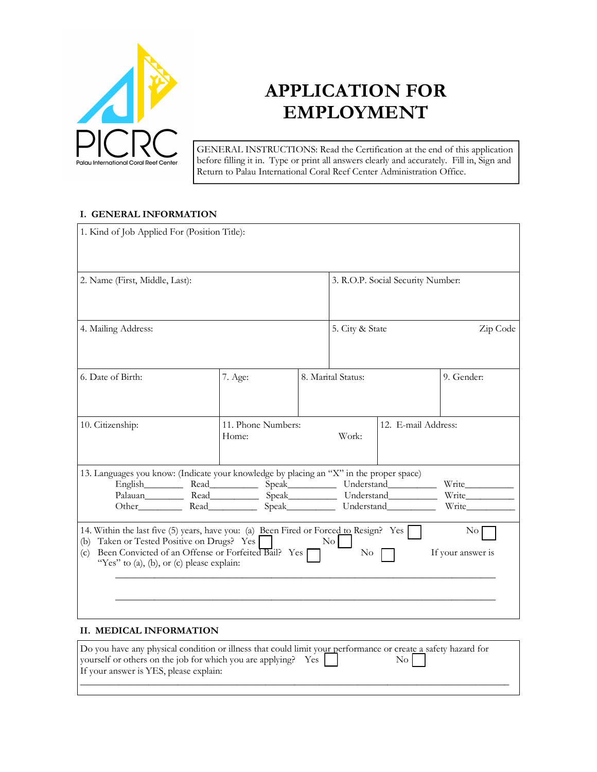

# **APPLICATION FOR EMPLOYMENT**

GENERAL INSTRUCTIONS: Read the Certification at the end of this application before filling it in. Type or print all answers clearly and accurately. Fill in, Sign and Return to Palau International Coral Reef Center Administration Office.

#### **I. GENERAL INFORMATION**

| 1. Kind of Job Applied For (Position Title):                                                                                                                                                                                                                                                                                     |  |                                   |                     |            |
|----------------------------------------------------------------------------------------------------------------------------------------------------------------------------------------------------------------------------------------------------------------------------------------------------------------------------------|--|-----------------------------------|---------------------|------------|
| 2. Name (First, Middle, Last):                                                                                                                                                                                                                                                                                                   |  | 3. R.O.P. Social Security Number: |                     |            |
| 4. Mailing Address:                                                                                                                                                                                                                                                                                                              |  | 5. City & State                   |                     | Zip Code   |
| 6. Date of Birth:<br>7. Age:                                                                                                                                                                                                                                                                                                     |  | 8. Marital Status:                |                     | 9. Gender: |
| 11. Phone Numbers:<br>10. Citizenship:<br>Home:                                                                                                                                                                                                                                                                                  |  | Work:                             | 12. E-mail Address: |            |
| 13. Languages you know: (Indicate your knowledge by placing an "X" in the proper space)                                                                                                                                                                                                                                          |  |                                   |                     |            |
|                                                                                                                                                                                                                                                                                                                                  |  |                                   |                     |            |
| Palauan Read Speak Understand                                                                                                                                                                                                                                                                                                    |  |                                   | Write               |            |
| 14. Within the last five (5) years, have you: (a) Been Fired or Forced to Resign? Yes<br>$\rm No$<br>Taken or Tested Positive on Drugs? Yes<br>$\overline{N}$ o<br>(b)<br>Been Convicted of an Offense or Forfeited Bail? Yes<br>If your answer is<br>$\overline{\text{No}}$<br>(c)<br>"Yes" to (a), (b), or (c) please explain: |  |                                   |                     |            |
|                                                                                                                                                                                                                                                                                                                                  |  |                                   |                     |            |

### **II. MEDICAL INFORMATION**

| Do you have any physical condition or illness that could limit your performance or create a safety hazard for |           |
|---------------------------------------------------------------------------------------------------------------|-----------|
| yourself or others on the job for which you are applying? Yes                                                 | $\rm{No}$ |
| If your answer is YES, please explain:                                                                        |           |
|                                                                                                               |           |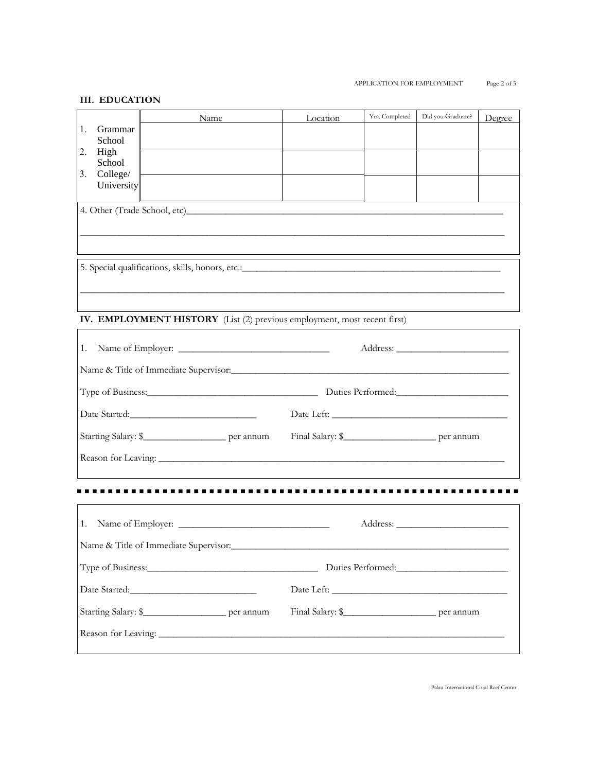#### **III. EDUCATION**

|                          | Name                                                                                                                                                                                                                                 |  | Location | Yrs. Completed | Did you Graduate? | Degree |
|--------------------------|--------------------------------------------------------------------------------------------------------------------------------------------------------------------------------------------------------------------------------------|--|----------|----------------|-------------------|--------|
| Grammar<br>1.<br>School  |                                                                                                                                                                                                                                      |  |          |                |                   |        |
| High<br>2.               |                                                                                                                                                                                                                                      |  |          |                |                   |        |
| School<br>College/<br>3. |                                                                                                                                                                                                                                      |  |          |                |                   |        |
| University               |                                                                                                                                                                                                                                      |  |          |                |                   |        |
|                          | 4. Other (Trade School, etc)                                                                                                                                                                                                         |  |          |                |                   |        |
|                          |                                                                                                                                                                                                                                      |  |          |                |                   |        |
|                          |                                                                                                                                                                                                                                      |  |          |                |                   |        |
|                          |                                                                                                                                                                                                                                      |  |          |                |                   |        |
|                          |                                                                                                                                                                                                                                      |  |          |                |                   |        |
|                          |                                                                                                                                                                                                                                      |  |          |                |                   |        |
|                          | IV. EMPLOYMENT HISTORY (List (2) previous employment, most recent first)                                                                                                                                                             |  |          |                |                   |        |
| 1.                       |                                                                                                                                                                                                                                      |  |          |                |                   |        |
|                          | Name & Title of Immediate Supervisor:                                                                                                                                                                                                |  |          |                |                   |        |
|                          | Type of Business: <u>Container and Container and Container and Container and Container and Container and Container and Container and Container and Container and Container and Container and Container and Container and Contain</u> |  |          |                |                   |        |
|                          |                                                                                                                                                                                                                                      |  |          |                |                   |        |
|                          |                                                                                                                                                                                                                                      |  |          |                |                   |        |
|                          | Starting Salary: \$________________________ per annum                                                                                                                                                                                |  |          |                |                   |        |
|                          |                                                                                                                                                                                                                                      |  |          |                |                   |        |
|                          |                                                                                                                                                                                                                                      |  |          |                |                   |        |
|                          |                                                                                                                                                                                                                                      |  |          |                |                   |        |
| 1.                       |                                                                                                                                                                                                                                      |  |          |                |                   |        |
|                          | Name & Title of Immediate Supervisor:                                                                                                                                                                                                |  |          |                |                   |        |
|                          |                                                                                                                                                                                                                                      |  |          |                |                   |        |
|                          |                                                                                                                                                                                                                                      |  |          |                |                   |        |
|                          | Starting Salary: \$________________________ per annum                                                                                                                                                                                |  |          |                |                   |        |
|                          |                                                                                                                                                                                                                                      |  |          |                |                   |        |